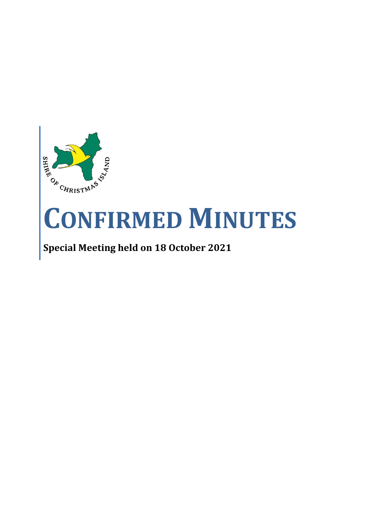

# **CONFIRMED MINUTES**

# **Special Meeting held on 18 October 2021**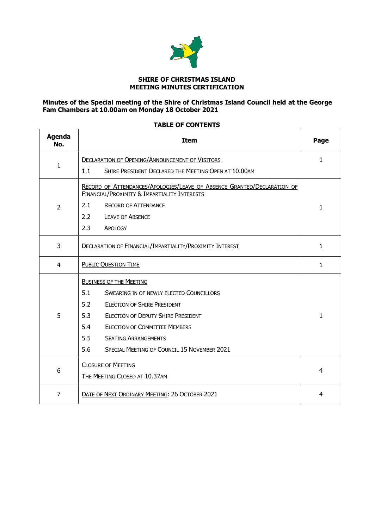

# **SHIRE OF CHRISTMAS ISLAND MEETING MINUTES CERTIFICATION**

# **Minutes of the Special meeting of the Shire of Christmas Island Council held at the George Fam Chambers at 10.00am on Monday 18 October 2021**

| <b>Agenda</b><br>No. | <b>Item</b>                                                                                                                                                                                     |              |
|----------------------|-------------------------------------------------------------------------------------------------------------------------------------------------------------------------------------------------|--------------|
| 1                    | <b>DECLARATION OF OPENING/ANNOUNCEMENT OF VISITORS</b>                                                                                                                                          |              |
|                      | SHIRE PRESIDENT DECLARED THE MEETING OPEN AT 10.00AM<br>1.1                                                                                                                                     |              |
| $\overline{2}$       | RECORD OF ATTENDANCES/APOLOGIES/LEAVE OF ABSENCE GRANTED/DECLARATION OF<br>FINANCIAL/PROXIMITY & IMPARTIALITY INTERESTS<br>2.1<br><b>RECORD OF ATTENDANCE</b><br>2.2<br><b>LEAVE OF ABSENCE</b> | $\mathbf{1}$ |
|                      | 2.3<br>APOLOGY                                                                                                                                                                                  |              |
| 3                    | <b>DECLARATION OF FINANCIAL/IMPARTIALITY/PROXIMITY INTEREST</b>                                                                                                                                 | $\mathbf{1}$ |
| $\overline{4}$       | <b>PUBLIC QUESTION TIME</b>                                                                                                                                                                     |              |
|                      | <b>BUSINESS OF THE MEETING</b>                                                                                                                                                                  |              |
|                      | 5.1<br><b>SWEARING IN OF NEWLY ELECTED COUNCILLORS</b>                                                                                                                                          |              |
| 5                    | 5.2<br>ELECTION OF SHIRE PRESIDENT                                                                                                                                                              |              |
|                      | 5.3<br><b>ELECTION OF DEPUTY SHIRE PRESIDENT</b>                                                                                                                                                | $\mathbf{1}$ |
|                      | 5.4<br><b>ELECTION OF COMMITTEE MEMBERS</b>                                                                                                                                                     |              |
|                      | 5.5<br><b>SEATING ARRANGEMENTS</b>                                                                                                                                                              |              |
|                      | 5.6<br>SPECIAL MEETING OF COUNCIL 15 NOVEMBER 2021                                                                                                                                              |              |
| 6                    | <b>CLOSURE OF MEETING</b><br>THE MEETING CLOSED AT 10.37AM                                                                                                                                      | 4            |
| $\overline{7}$       | DATE OF NEXT ORDINARY MEETING: 26 OCTOBER 2021                                                                                                                                                  | 4            |

# **TABLE OF CONTENTS**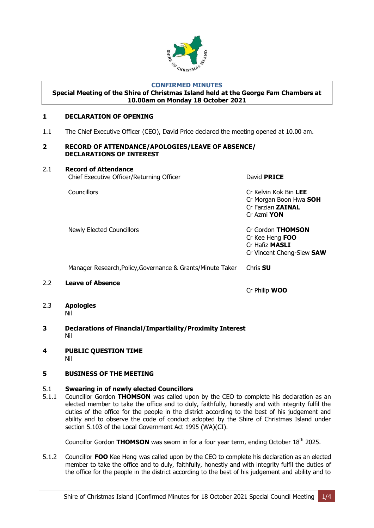

# **CONFIRMED MINUTES**

#### **Special Meeting of the Shire of Christmas Island held at the George Fam Chambers at 10.00am on Monday 18 October 2021**

# <span id="page-2-1"></span><span id="page-2-0"></span>**1 DECLARATION OF OPENING**

1.1 The Chief Executive Officer (CEO), David Price declared the meeting opened at 10.00 am.

#### <span id="page-2-2"></span>**2 RECORD OF ATTENDANCE/APOLOGIES/LEAVE OF ABSENCE/ DECLARATIONS OF INTEREST**

# 2.1 **Record of Attendance**

David **PRICE** 

Councillors Cr Kelvin Kok Bin **LEE** Cr Morgan Boon Hwa **SOH** Cr Farzian **ZAINAL** Cr Azmi **YON**

Newly Elected Councillors Cr Gordon **THOMSON**

Cr Kee Heng **FOO** Cr Hafiz **MASLI** Cr Vincent Cheng-Siew **SAW**

Manager Research,Policy,Governance & Grants/Minute Taker Chris **SU**

2.2 **Leave of Absence**

Cr Philip **WOO**

- 2.3 **Apologies** Nil
- <span id="page-2-3"></span>**3 Declarations of Financial/Impartiality/Proximity Interest** Nil
- <span id="page-2-4"></span>**4 PUBLIC QUESTION TIME** Nil

# <span id="page-2-5"></span>**5 BUSINESS OF THE MEETING**

# 5.1 **Swearing in of newly elected Councillors**

5.1.1 Councillor Gordon **THOMSON** was called upon by the CEO to complete his declaration as an elected member to take the office and to duly, faithfully, honestly and with integrity fulfil the duties of the office for the people in the district according to the best of his judgement and ability and to observe the code of conduct adopted by the Shire of Christmas Island under section 5.103 of the Local Government Act 1995 (WA)(CI).

Councillor Gordon **THOMSON** was sworn in for a four year term, ending October 18<sup>th</sup> 2025.

5.1.2 Councillor **FOO** Kee Heng was called upon by the CEO to complete his declaration as an elected member to take the office and to duly, faithfully, honestly and with integrity fulfil the duties of the office for the people in the district according to the best of his judgement and ability and to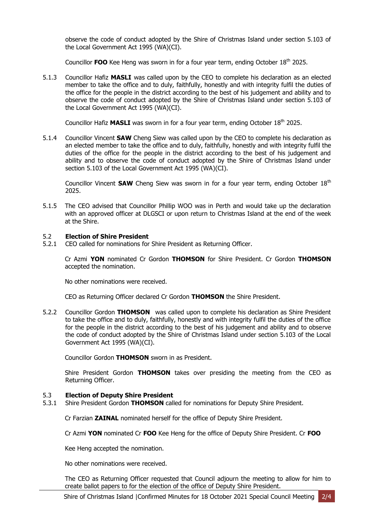observe the code of conduct adopted by the Shire of Christmas Island under section 5.103 of the Local Government Act 1995 (WA)(CI).

Councillor **FOO** Kee Heng was sworn in for a four year term, ending October 18th 2025.

5.1.3 Councillor Hafiz **MASLI** was called upon by the CEO to complete his declaration as an elected member to take the office and to duly, faithfully, honestly and with integrity fulfil the duties of the office for the people in the district according to the best of his judgement and ability and to observe the code of conduct adopted by the Shire of Christmas Island under section 5.103 of the Local Government Act 1995 (WA)(CI).

Councillor Hafiz **MASLI** was sworn in for a four year term, ending October 18<sup>th</sup> 2025.

5.1.4 Councillor Vincent **SAW** Cheng Siew was called upon by the CEO to complete his declaration as an elected member to take the office and to duly, faithfully, honestly and with integrity fulfil the duties of the office for the people in the district according to the best of his judgement and ability and to observe the code of conduct adopted by the Shire of Christmas Island under section 5.103 of the Local Government Act 1995 (WA)(CI).

Councillor Vincent **SAW** Cheng Siew was sworn in for a four year term, ending October 18<sup>th</sup> 2025.

5.1.5 The CEO advised that Councillor Phillip WOO was in Perth and would take up the declaration with an approved officer at DLGSCI or upon return to Christmas Island at the end of the week at the Shire.

# 5.2 **Election of Shire President**

5.2.1 CEO called for nominations for Shire President as Returning Officer.

Cr Azmi **YON** nominated Cr Gordon **THOMSON** for Shire President. Cr Gordon **THOMSON**  accepted the nomination.

No other nominations were received.

CEO as Returning Officer declared Cr Gordon **THOMSON** the Shire President.

5.2.2 Councillor Gordon **THOMSON** was called upon to complete his declaration as Shire President to take the office and to duly, faithfully, honestly and with integrity fulfil the duties of the office for the people in the district according to the best of his judgement and ability and to observe the code of conduct adopted by the Shire of Christmas Island under section 5.103 of the Local Government Act 1995 (WA)(CI).

Councillor Gordon **THOMSON** sworn in as President.

Shire President Gordon **THOMSON** takes over presiding the meeting from the CEO as Returning Officer.

# 5.3 **Election of Deputy Shire President**

5.3.1 Shire President Gordon **THOMSON** called for nominations for Deputy Shire President.

Cr Farzian **ZAINAL** nominated herself for the office of Deputy Shire President.

Cr Azmi **YON** nominated Cr **FOO** Kee Heng for the office of Deputy Shire President. Cr **FOO**

Kee Heng accepted the nomination.

No other nominations were received.

The CEO as Returning Officer requested that Council adjourn the meeting to allow for him to create ballot papers to for the election of the office of Deputy Shire President.

Shire of Christmas Island |Confirmed Minutes for 18 October 2021 Special Council Meeting 2/4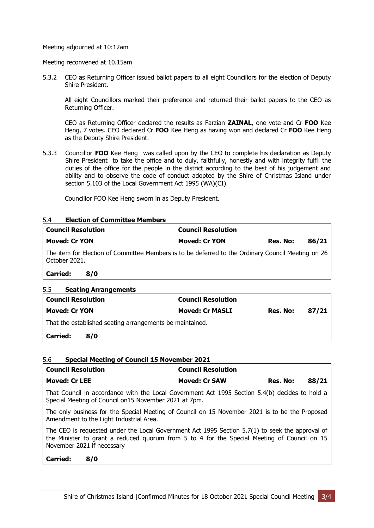Meeting adjourned at 10:12am

#### Meeting reconvened at 10.15am

5.3.2 CEO as Returning Officer issued ballot papers to all eight Councillors for the election of Deputy Shire President.

All eight Councillors marked their preference and returned their ballot papers to the CEO as Returning Officer.

CEO as Returning Officer declared the results as Farzian **ZAINAL**, one vote and Cr **FOO** Kee Heng, 7 votes. CEO declared Cr **FOO** Kee Heng as having won and declared Cr **FOO** Kee Heng as the Deputy Shire President.

5.3.3 Councillor **FOO** Kee Hengwas called upon by the CEO to complete his declaration as Deputy Shire President to take the office and to duly, faithfully, honestly and with integrity fulfil the duties of the office for the people in the district according to the best of his judgement and ability and to observe the code of conduct adopted by the Shire of Christmas Island under section 5.103 of the Local Government Act 1995 (WA)(CI).

Councillor FOO Kee Heng sworn in as Deputy President.

#### 5.4 **Election of Committee Members**

| <b>Council Resolution</b>                                                                                             | <b>Council Resolution</b> |          |       |  |
|-----------------------------------------------------------------------------------------------------------------------|---------------------------|----------|-------|--|
| <b>Moved: Cr YON</b>                                                                                                  | <b>Moved: Cr YON</b>      | Res. No: | 86/21 |  |
| The item for Election of Committee Members is to be deferred to the Ordinary Council Meeting on 26<br>l October 2021. |                           |          |       |  |

**Carried: 8/0**

# 5.5 **Seating Arrangements**

| <b>Council Resolution</b>                                |     | <b>Council Resolution</b> |          |       |  |  |
|----------------------------------------------------------|-----|---------------------------|----------|-------|--|--|
| <b>Moved: Cr YON</b>                                     |     | <b>Moved: Cr MASLI</b>    | Res. No: | 87/21 |  |  |
| That the established seating arrangements be maintained. |     |                           |          |       |  |  |
| Carried:                                                 | 8/0 |                           |          |       |  |  |

# 5.6 **Special Meeting of Council 15 November 2021**

| <b>Council Resolution</b>                                                                                                                                | <b>Council Resolution</b> |          |       |  |
|----------------------------------------------------------------------------------------------------------------------------------------------------------|---------------------------|----------|-------|--|
| <b>Moved: Cr LEE</b>                                                                                                                                     | <b>Moved: Cr SAW</b>      | Res. No: | 88/21 |  |
| That Council in accordance with the Local Government Act 1995 Section 5.4(b) decides to hold a<br>Special Meeting of Council on 15 November 2021 at 7pm. |                           |          |       |  |
| The only business for the Special Meeting of Council on 15 November 2021 is to be the Proposed<br>Amendment to the Light Industrial Area.                |                           |          |       |  |

The CEO is requested under the Local Government Act 1995 Section 5.7(1) to seek the approval of the Minister to grant a reduced quorum from 5 to 4 for the Special Meeting of Council on 15 November 2021 if necessary

**Carried: 8/0**